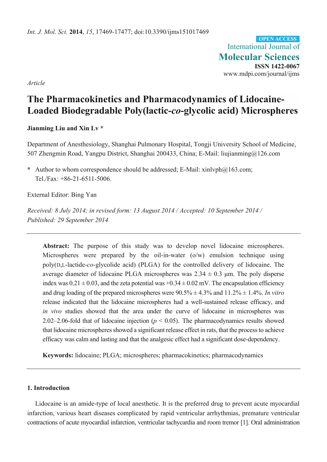International Journal of **Molecular Sciences ISSN 1422-0067**  www.mdpi.com/journal/ijms **OPEN ACCESS**

*Article* 

# **The Pharmacokinetics and Pharmacodynamics of Lidocaine-Loaded Biodegradable Poly(lactic-***co***-glycolic acid) Microspheres**

## **Jianming Liu and Xin Lv \***

Department of Anesthesiology, Shanghai Pulmonary Hospital, Tongji University School of Medicine, 507 Zhengmin Road, Yangpu District, Shanghai 200433, China; E-Mail: liujianming@126.com

**\*** Author to whom correspondence should be addressed; E-Mail: xinlvph@163.com; Tel./Fax: +86-21-6511-5006.

External Editor: Bing Yan

*Received: 8 July 2014; in revised form: 13 August 2014 / Accepted: 10 September 2014 / Published: 29 September 2014* 

**Abstract:** The purpose of this study was to develop novel lidocaine microspheres. Microspheres were prepared by the oil-in-water (o/w) emulsion technique using poly(D,L-lactide-*co*-glycolide acid) (PLGA) for the controlled delivery of lidocaine. The average diameter of lidocaine PLGA microspheres was  $2.34 \pm 0.3$  µm. The poly disperse index was  $0.21 \pm 0.03$ , and the zeta potential was  $+0.34 \pm 0.02$  mV. The encapsulation efficiency and drug loading of the prepared microspheres were 90.5% ± 4.3% and 11.2% ± 1.4%. *In vitro* release indicated that the lidocaine microspheres had a well-sustained release efficacy, and *in vivo* studies showed that the area under the curve of lidocaine in microspheres was 2.02–2.06-fold that of lidocaine injection (*p* < 0.05). The pharmacodynamics results showed that lidocaine microspheres showed a significant release effect in rats, that the process to achieve efficacy was calm and lasting and that the analgesic effect had a significant dose-dependency.

**Keywords:** lidocaine; PLGA; microspheres; pharmacokinetics; pharmacodynamics

## **1. Introduction**

Lidocaine is an amide-type of local anesthetic. It is the preferred drug to prevent acute myocardial infarction, various heart diseases complicated by rapid ventricular arrhythmias, premature ventricular contractions of acute myocardial infarction, ventricular tachycardia and room tremor [1]. Oral administration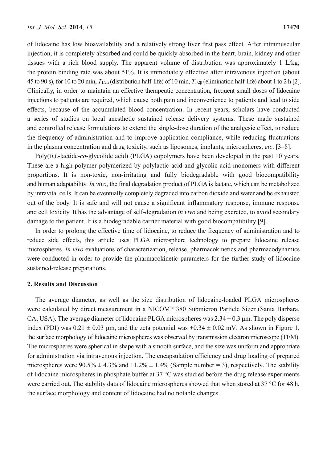of lidocaine has low bioavailability and a relatively strong liver first pass effect. After intramuscular injection, it is completely absorbed and could be quickly absorbed in the heart, brain, kidney and other tissues with a rich blood supply. The apparent volume of distribution was approximately 1 L/kg; the protein binding rate was about 51%. It is immediately effective after intravenous injection (about 45 to 90 s), for 10 to 20 min, *T*1/2α (distribution half-life) of 10 min, *T*1/2β (elimination half-life) about 1 to 2 h [2]. Clinically, in order to maintain an effective therapeutic concentration, frequent small doses of lidocaine injections to patients are required, which cause both pain and inconvenience to patients and lead to side effects, because of the accumulated blood concentration. In recent years, scholars have conducted a series of studies on local anesthetic sustained release delivery systems. These made sustained and controlled release formulations to extend the single-dose duration of the analgesic effect, to reduce the frequency of administration and to improve application compliance, while reducing fluctuations in the plasma concentration and drug toxicity, such as liposomes, implants, microspheres, *etc*. [3–8].

Poly(D,L-lactide-*co*-glycolide acid) (PLGA) copolymers have been developed in the past 10 years. These are a high polymer polymerized by polylactic acid and glycolic acid monomers with different proportions. It is non-toxic, non-irritating and fully biodegradable with good biocompatibility and human adaptability. *In vivo*, the final degradation product of PLGA is lactate, which can be metabolized by intravital cells. It can be eventually completely degraded into carbon dioxide and water and be exhausted out of the body. It is safe and will not cause a significant inflammatory response, immune response and cell toxicity. It has the advantage of self-degradation *in vivo* and being excreted, to avoid secondary damage to the patient. It is a biodegradable carrier material with good biocompatibility [9].

In order to prolong the effective time of lidocaine, to reduce the frequency of administration and to reduce side effects, this article uses PLGA microsphere technology to prepare lidocaine release microspheres. *In vivo* evaluations of characterization, release, pharmacokinetics and pharmacodynamics were conducted in order to provide the pharmacokinetic parameters for the further study of lidocaine sustained-release preparations.

#### **2. Results and Discussion**

The average diameter, as well as the size distribution of lidocaine-loaded PLGA microspheres were calculated by direct measurement in a NICOMP 380 Submicron Particle Sizer (Santa Barbara, CA, USA). The average diameter of lidocaine PLGA microspheres was  $2.34 \pm 0.3$  µm. The poly disperse index (PDI) was  $0.21 \pm 0.03$  um, and the zeta potential was  $+0.34 \pm 0.02$  mV. As shown in Figure 1, the surface morphology of lidocaine microspheres was observed by transmission electron microscope (TEM). The microspheres were spherical in shape with a smooth surface, and the size was uniform and appropriate for administration via intravenous injection. The encapsulation efficiency and drug loading of prepared microspheres were  $90.5\% \pm 4.3\%$  and  $11.2\% \pm 1.4\%$  (Sample number = 3), respectively. The stability of lidocaine microspheres in phosphate buffer at 37 °C was studied before the drug release experiments were carried out. The stability data of lidocaine microspheres showed that when stored at 37 °C for 48 h, the surface morphology and content of lidocaine had no notable changes.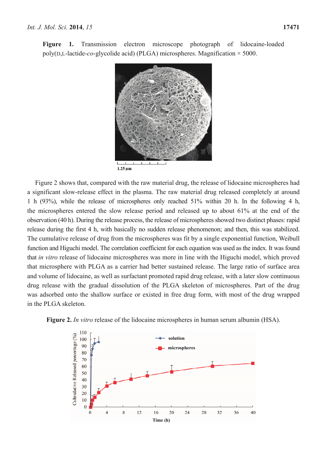**Figure 1.** Transmission electron microscope photograph of lidocaine-loaded poly(D,L-lactide-*co*-glycolide acid) (PLGA) microspheres. Magnification × 5000.



Figure 2 shows that, compared with the raw material drug, the release of lidocaine microspheres had a significant slow-release effect in the plasma. The raw material drug released completely at around 1 h (93%), while the release of microspheres only reached 51% within 20 h. In the following 4 h, the microspheres entered the slow release period and released up to about 61% at the end of the observation (40 h). During the release process, the release of microspheres showed two distinct phases: rapid release during the first 4 h, with basically no sudden release phenomenon; and then, this was stabilized. The cumulative release of drug from the microspheres was fit by a single exponential function, Weibull function and Higuchi model. The correlation coefficient for each equation was used as the index. It was found that *in vitro* release of lidocaine microspheres was more in line with the Higuchi model, which proved that microsphere with PLGA as a carrier had better sustained release. The large ratio of surface area and volume of lidocaine, as well as surfactant promoted rapid drug release, with a later slow continuous drug release with the gradual dissolution of the PLGA skeleton of microspheres. Part of the drug was adsorbed onto the shallow surface or existed in free drug form, with most of the drug wrapped in the PLGA skeleton.



**Figure 2.** *In vitro* release of the lidocaine microspheres in human serum albumin (HSA).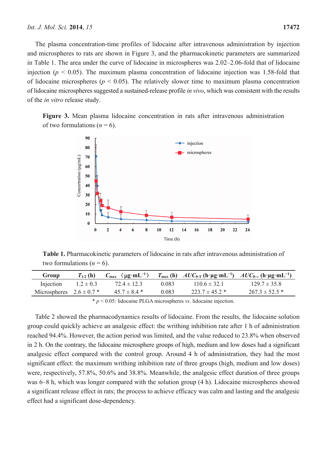The plasma concentration-time profiles of lidocaine after intravenous administration by injection and microspheres to rats are shown in Figure 3, and the pharmacokinetic parameters are summarized in Table 1. The area under the curve of lidocaine in microspheres was 2.02–2.06-fold that of lidocaine injection ( $p < 0.05$ ). The maximum plasma concentration of lidocaine injection was 1.58-fold that of lidocaine microspheres ( $p \le 0.05$ ). The relatively slower time to maximum plasma concentration of lidocaine microspheres suggested a sustained-release profile *in vivo*, which was consistent with the results of the *in vitro* release study.

**Figure 3.** Mean plasma lidocaine concentration in rats after intravenous administration of two formulations  $(n = 6)$ .



**Table 1.** Pharmacokinetic parameters of lidocaine in rats after intravenous administration of two formulations  $(n = 6)$ .

| Group                        | $T_{1/2}$ (h) | $C_{\text{max}}$ ( $\mu$ g·mL <sup>-1</sup> ) |       | $T_{\text{max}}$ (h) $AUC_{0-T}$ (h·µg·mL <sup>-1</sup> ) $AUC_{0-\infty}$ (h·µg·mL <sup>-1</sup> ) |                    |
|------------------------------|---------------|-----------------------------------------------|-------|-----------------------------------------------------------------------------------------------------|--------------------|
| Injection                    | $1.2 \pm 0.3$ | $72.4 \pm 12.3$                               | 0 083 | $1106 \pm 321$                                                                                      | $129.7 \pm 35.8$   |
| Microspheres $2.6 \pm 0.7$ * |               | $457 \pm 84$ *                                | 0.083 | $223.7 \pm 45.2$ *                                                                                  | $267.3 \pm 52.5$ * |

\* *p* < 0.05: lidocaine PLGA microspheres *vs*. lidocaine injection.

Table 2 showed the pharmacodynamics results of lidocaine. From the results, the lidocaine solution group could quickly achieve an analgesic effect: the writhing inhibition rate after 1 h of administration reached 94.4%. However, the action period was limited, and the value reduced to 23.8% when observed in 2 h. On the contrary, the lidocaine microsphere groups of high, medium and low doses had a significant analgesic effect compared with the control group. Around 4 h of administration, they had the most significant effect: the maximum writhing inhibition rate of three groups (high, medium and low doses) were, respectively, 57.8%, 50.6% and 38.8%. Meanwhile, the analgesic effect duration of three groups was 6–8 h, which was longer compared with the solution group (4 h). Lidocaine microspheres showed a significant release effect in rats; the process to achieve efficacy was calm and lasting and the analgesic effect had a significant dose-dependency.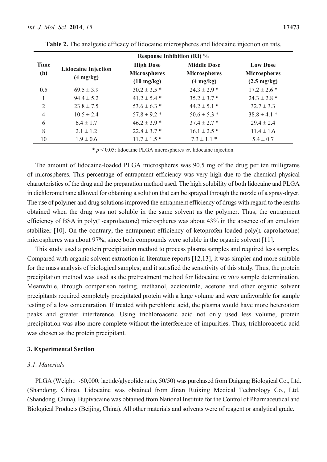|                | <b>Response Inhibition (RI)</b> %                 |                                                                 |                                                                  |                                                                 |  |  |  |
|----------------|---------------------------------------------------|-----------------------------------------------------------------|------------------------------------------------------------------|-----------------------------------------------------------------|--|--|--|
| Time<br>(h)    | <b>Lidocaine Injection</b><br>$(4 \text{ mg/kg})$ | <b>High Dose</b><br><b>Microspheres</b><br>$(10 \text{ mg/kg})$ | <b>Middle Dose</b><br><b>Microspheres</b><br>$(4 \text{ mg/kg})$ | <b>Low Dose</b><br><b>Microspheres</b><br>$(2.5 \text{ mg/kg})$ |  |  |  |
| 0.5            | $69.5 \pm 3.9$                                    | $30.2 \pm 3.5$ *                                                | $24.3 \pm 2.9$ *                                                 | $17.2 \pm 2.6$ *                                                |  |  |  |
|                | $94.4 \pm 5.2$                                    | $41.2 \pm 5.4$ *                                                | $35.2 \pm 3.7$ *                                                 | $24.3 \pm 2.8$ *                                                |  |  |  |
| 2              | $23.8 \pm 7.5$                                    | $53.6 \pm 6.3$ *                                                | $44.2 \pm 5.1$ *                                                 | $32.7 \pm 3.3$                                                  |  |  |  |
| $\overline{4}$ | $10.5 \pm 2.4$                                    | $57.8 \pm 9.2$ *                                                | $50.6 \pm 5.3$ *                                                 | $38.8 \pm 4.1$ *                                                |  |  |  |
| 6              | $6.4 \pm 1.7$                                     | $46.2 \pm 3.9$ *                                                | $37.4 \pm 2.7$ *                                                 | $29.4 \pm 2.4$                                                  |  |  |  |
| 8              | $2.1 \pm 1.2$                                     | $22.8 \pm 3.7$ *                                                | $16.1 \pm 2.5$ *                                                 | $11.4 \pm 1.6$                                                  |  |  |  |
| 10             | $1.9 \pm 0.6$                                     | $11.7 \pm 1.5*$                                                 | $73 \pm 11*$                                                     | $5.4 \pm 0.7$                                                   |  |  |  |

**Table 2.** The analgesic efficacy of lidocaine microspheres and lidocaine injection on rats.

\* *p* < 0.05: lidocaine PLGA microspheres *vs*. lidocaine injection.

The amount of lidocaine-loaded PLGA microspheres was 90.5 mg of the drug per ten milligrams of microspheres. This percentage of entrapment efficiency was very high due to the chemical-physical characteristics of the drug and the preparation method used. The high solubility of both lidocaine and PLGA in dichloromethane allowed for obtaining a solution that can be sprayed through the nozzle of a spray-dryer. The use of polymer and drug solutions improved the entrapment efficiency of drugs with regard to the results obtained when the drug was not soluble in the same solvent as the polymer. Thus, the entrapment efficiency of BSA in poly(L-caprolactone) microspheres was about 43% in the absence of an emulsion stabilizer [10]. On the contrary, the entrapment efficiency of ketoprofen-loaded poly(L-caprolactone) microspheres was about 97%, since both compounds were soluble in the organic solvent [11].

This study used a protein precipitation method to process plasma samples and required less samples. Compared with organic solvent extraction in literature reports [12,13], it was simpler and more suitable for the mass analysis of biological samples; and it satisfied the sensitivity of this study. Thus, the protein precipitation method was used as the pretreatment method for lidocaine *in vivo* sample determination. Meanwhile, through comparison testing, methanol, acetonitrile, acetone and other organic solvent precipitants required completely precipitated protein with a large volume and were unfavorable for sample testing of a low concentration. If treated with perchloric acid, the plasma would have more heteroatom peaks and greater interference. Using trichloroacetic acid not only used less volume, protein precipitation was also more complete without the interference of impurities. Thus, trichloroacetic acid was chosen as the protein precipitant.

## **3. Experimental Section**

# *3.1. Materials*

PLGA (Weight: ~60,000; lactide/glycolide ratio, 50/50) was purchased from Daigang Biological Co., Ltd. (Shandong, China). Lidocaine was obtained from Jinan Ruixing Medical Technology Co., Ltd. (Shandong, China). Bupivacaine was obtained from National Institute for the Control of Pharmaceutical and Biological Products (Beijing, China). All other materials and solvents were of reagent or analytical grade.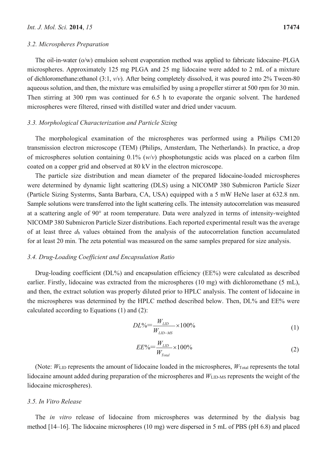#### *3.2. Microspheres Preparation*

The oil-in-water (o/w) emulsion solvent evaporation method was applied to fabricate lidocaine–PLGA microspheres. Approximately 125 mg PLGA and 25 mg lidocaine were added to 2 mL of a mixture of dichloromethane:ethanol (3:1, *v*/*v*). After being completely dissolved, it was poured into 2% Tween-80 aqueous solution, and then, the mixture was emulsified by using a propeller stirrer at 500 rpm for 30 min. Then stirring at 300 rpm was continued for 6.5 h to evaporate the organic solvent. The hardened microspheres were filtered, rinsed with distilled water and dried under vacuum.

## *3.3. Morphological Characterization and Particle Sizing*

The morphological examination of the microspheres was performed using a Philips CM120 transmission electron microscope (TEM) (Philips, Amsterdam, The Netherlands). In practice, a drop of microspheres solution containing 0.1% (*w*/*v*) phosphotungstic acids was placed on a carbon film coated on a copper grid and observed at 80 kV in the electron microscope.

The particle size distribution and mean diameter of the prepared lidocaine-loaded microspheres were determined by dynamic light scattering (DLS) using a NICOMP 380 Submicron Particle Sizer (Particle Sizing Systerms, Santa Barbara, CA, USA) equipped with a 5 mW HeNe laser at 632.8 nm. Sample solutions were transferred into the light scattering cells. The intensity autocorrelation was measured at a scattering angle of 90° at room temperature. Data were analyzed in terms of intensity-weighted NICOMP 380 Submicron Particle Sizer distributions. Each reported experimental result was the average of at least three *d*h values obtained from the analysis of the autocorrelation function accumulated for at least 20 min. The zeta potential was measured on the same samples prepared for size analysis.

## *3.4. Drug-Loading Coefficient and Encapsulation Ratio*

Drug-loading coefficient (DL%) and encapsulation efficiency (EE%) were calculated as described earlier. Firstly, lidocaine was extracted from the microspheres (10 mg) with dichloromethane (5 mL), and then, the extract solution was properly diluted prior to HPLC analysis. The content of lidocaine in the microspheres was determined by the HPLC method described below. Then, DL% and EE% were calculated according to Equations (1) and (2):

$$
DL\% = \frac{W_{LD}}{W_{LD-MS}} \times 100\%
$$
 (1)

$$
EE\% = \frac{W_{LD}}{W_{Total}} \times 100\%
$$
\n<sup>(2)</sup>

(Note:  $W_{\text{LID}}$  represents the amount of lidocaine loaded in the microspheres,  $W_{\text{Total}}$  represents the total lidocaine amount added during preparation of the microspheres and *W*<sub>LID-MS</sub> represents the weight of the lidocaine microspheres).

#### *3.5. In Vitro Release*

The *in vitro* release of lidocaine from microspheres was determined by the dialysis bag method [14–16]. The lidocaine microspheres (10 mg) were dispersed in 5 mL of PBS (pH 6.8) and placed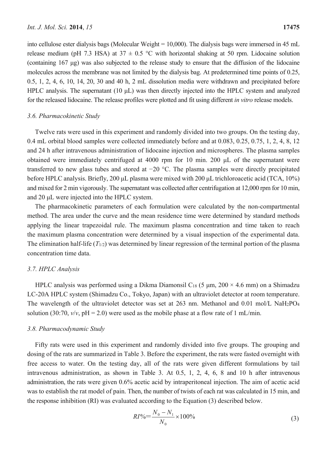into cellulose ester dialysis bags (Molecular Weight = 10,000). The dialysis bags were immersed in 45 mL release medium (pH 7.3 HSA) at  $37 \pm 0.5$  °C with horizontal shaking at 50 rpm. Lidocaine solution (containing 167 μg) was also subjected to the release study to ensure that the diffusion of the lidocaine molecules across the membrane was not limited by the dialysis bag. At predetermined time points of 0.25, 0.5, 1, 2, 4, 6, 10, 14, 20, 30 and 40 h, 2 mL dissolution media were withdrawn and precipitated before HPLC analysis. The supernatant (10 μL) was then directly injected into the HPLC system and analyzed for the released lidocaine. The release profiles were plotted and fit using different *in vitro* release models.

#### *3.6. Pharmacokinetic Study*

Twelve rats were used in this experiment and randomly divided into two groups. On the testing day, 0.4 mL orbital blood samples were collected immediately before and at 0.083, 0.25, 0.75, 1, 2, 4, 8, 12 and 24 h after intravenous administration of lidocaine injection and microspheres. The plasma samples obtained were immediately centrifuged at 4000 rpm for 10 min. 200 μL of the supernatant were transferred to new glass tubes and stored at −20 °C. The plasma samples were directly precipitated before HPLC analysis. Briefly, 200 μL plasma were mixed with 200 μL trichloroacetic acid (TCA, 10%) and mixed for 2 min vigorously. The supernatant was collected after centrifugation at 12,000 rpm for 10 min, and 20 μL were injected into the HPLC system.

The pharmacokinetic parameters of each formulation were calculated by the non-compartmental method. The area under the curve and the mean residence time were determined by standard methods applying the linear trapezoidal rule. The maximum plasma concentration and time taken to reach the maximum plasma concentration were determined by a visual inspection of the experimental data. The elimination half-life (*T*1/2) was determined by linear regression of the terminal portion of the plasma concentration time data.

## *3.7. HPLC Analysis*

HPLC analysis was performed using a Dikma Diamonsil C<sub>18</sub> (5  $\mu$ m, 200  $\times$  4.6 mm) on a Shimadzu LC-20A HPLC system (Shimadzu Co., Tokyo, Japan) with an ultraviolet detector at room temperature. The wavelength of the ultraviolet detector was set at 263 nm. Methanol and 0.01 mol/L NaH2PO4 solution (30:70,  $v/v$ ,  $pH = 2.0$ ) were used as the mobile phase at a flow rate of 1 mL/min.

## *3.8. Pharmacodynamic Study*

Fifty rats were used in this experiment and randomly divided into five groups. The grouping and dosing of the rats are summarized in Table 3. Before the experiment, the rats were fasted overnight with free access to water. On the testing day, all of the rats were given different formulations by tail intravenous administration, as shown in Table 3. At 0.5, 1, 2, 4, 6, 8 and 10 h after intravenous administration, the rats were given 0.6% acetic acid by intraperitoneal injection. The aim of acetic acid was to establish the rat model of pain. Then, the number of twists of each rat was calculated in 15 min, and the response inhibition (RI) was evaluated according to the Equation (3) described below.

$$
RI\% = \frac{N_0 - N_1}{N_0} \times 100\%
$$
\n(3)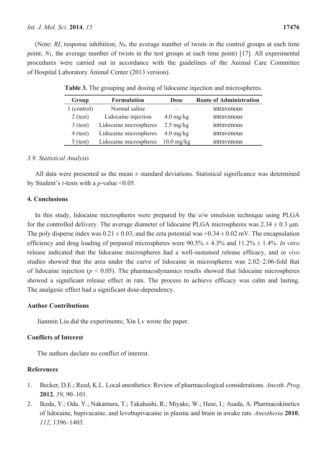(Note: *RI*, response inhibition; *N*0, the average number of twists in the control groups at each time point; *N*1, the average number of twists in the test groups at each time point) [17]. All experimental procedures were carried out in accordance with the guidelines of the Animal Care Committee of Hospital Laboratory Animal Center (2013 version).

| Group       | <b>Formulation</b>     | <b>Dose</b>         | <b>Route of Administration</b> |
|-------------|------------------------|---------------------|--------------------------------|
| 1 (control) | Normal saline          |                     | intravenous                    |
| $2$ (test)  | Lidocaine injection    | $4.0 \text{ mg/kg}$ | intravenous                    |
| $3$ (test)  | Lidocaine microspheres | $2.5 \text{ mg/kg}$ | intravenous                    |
| $4$ (test)  | Lidocaine microspheres | $4.0 \text{ mg/kg}$ | intravenous                    |
| $5$ (test)  | Lidocaine microspheres | $10.0$ mg/kg        | intravenous                    |

**Table 3.** The grouping and dosing of lidocaine injection and microspheres.

# *3.9. Statistical Analysis*

All data were presented as the mean  $\pm$  standard deviations. Statistical significance was determined by Student's *t*-tests with a *p*-value <0.05.

# **4. Conclusions**

In this study, lidocaine microspheres were prepared by the o/w emulsion technique using PLGA for the controlled delivery. The average diameter of lidocaine PLGA microspheres was  $2.34 \pm 0.3$  µm. The poly disperse index was  $0.21 \pm 0.03$ , and the zeta potential was  $+0.34 \pm 0.02$  mV. The encapsulation efficiency and drug loading of prepared microspheres were 90.5% ± 4.3% and 11.2% ± 1.4%. *In vitro* release indicated that the lidocaine microspheres had a well-sustained release efficacy, and *in vivo* studies showed that the area under the curve of lidocaine in microspheres was 2.02–2.06-fold that of lidocaine injection ( $p < 0.05$ ). The pharmacodynamics results showed that lidocaine microspheres showed a significant release effect in rats. The process to achieve efficacy was calm and lasting. The analgesic effect had a significant dose-dependency.

# **Author Contributions**

Jianmin Liu did the experiments; Xin Lv wrote the paper.

# **Conflicts of Interest**

The authors declare no conflict of interest.

# **References**

- 1. Becker, D.E.; Reed, K.L. Local anesthetics: Review of pharmacological considerations. *Anesth. Prog*. **2012**, *59*, 90–101.
- 2. Ikeda, Y.; Oda, Y.; Nakamura, T.; Takahashi, R.; Miyake, W.; Hase, I.; Asada, A. Pharmacokinetics of lidocaine, bupivacaine, and levobupivacaine in plasma and brain in awake rats. *Anesthesia* **2010**, *112*, 1396–1403.